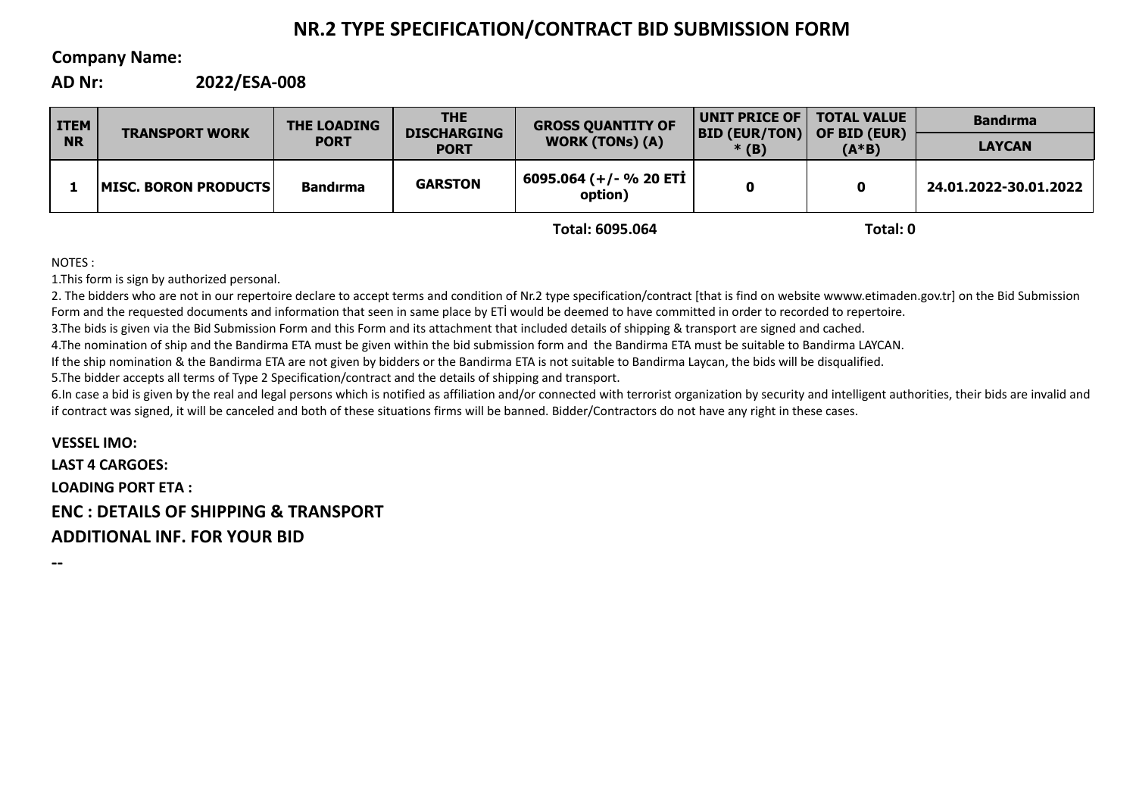# **NR.2 TYPE SPECIFICATION/CONTRACT BID SUBMISSION FORM**

# **Company Name:**

**AD Nr: 2022/ESA-008**

| <b>ITEM</b><br><b>NR</b> | <b>TRANSPORT WORK</b>        | <b>THE LOADING</b><br><b>PORT</b> | <b>THE</b><br><b>DISCHARGING</b><br><b>PORT</b> | <b>GROSS QUANTITY OF</b><br><b>WORK (TONs) (A)</b> | UNIT PRICE OF  <br>$ BID$ (EUR/TON)<br>$*(B)$ | <b>TOTAL VALUE</b><br>OF BID (EUR)<br>$(A*B)$ | <b>Bandirma</b>       |
|--------------------------|------------------------------|-----------------------------------|-------------------------------------------------|----------------------------------------------------|-----------------------------------------------|-----------------------------------------------|-----------------------|
|                          |                              |                                   |                                                 |                                                    |                                               |                                               | <b>LAYCAN</b>         |
|                          | <b>IMISC. BORON PRODUCTS</b> | <b>Bandırma</b>                   | <b>GARSTON</b>                                  | 6095.064 (+/- % 20 ETİ<br>option)                  |                                               | 0                                             | 24.01.2022-30.01.2022 |
|                          |                              |                                   |                                                 |                                                    |                                               |                                               |                       |

**Total: 6095.064**

**Total: 0**

NOTES :

1.This form is sign by authorized personal.

2. The bidders who are not in our repertoire declare to accept terms and condition of Nr.2 type specification/contract [that is find on website wwww.etimaden.gov.tr] on the Bid Submission Form and the requested documents and information that seen in same place by ETİ would be deemed to have committed in order to recorded to repertoire.

3.The bids is given via the Bid Submission Form and this Form and its attachment that included details of shipping & transport are signed and cached.

4.The nomination of ship and the Bandirma ETA must be given within the bid submission form and the Bandirma ETA must be suitable to Bandirma LAYCAN.

If the ship nomination & the Bandirma ETA are not given by bidders or the Bandirma ETA is not suitable to Bandirma Laycan, the bids will be disqualified.

5.The bidder accepts all terms of Type 2 Specification/contract and the details of shipping and transport.

6.In case a bid is given by the real and legal persons which is notified as affiliation and/or connected with terrorist organization by security and intelligent authorities, their bids are invalid and if contract was signed, it will be canceled and both of these situations firms will be banned. Bidder/Contractors do not have any right in these cases.

**VESSEL IMO: LAST 4 CARGOES: LOADING PORT ETA : ENC : DETAILS OF SHIPPING & TRANSPORT ADDITIONAL INF. FOR YOUR BID**

**--**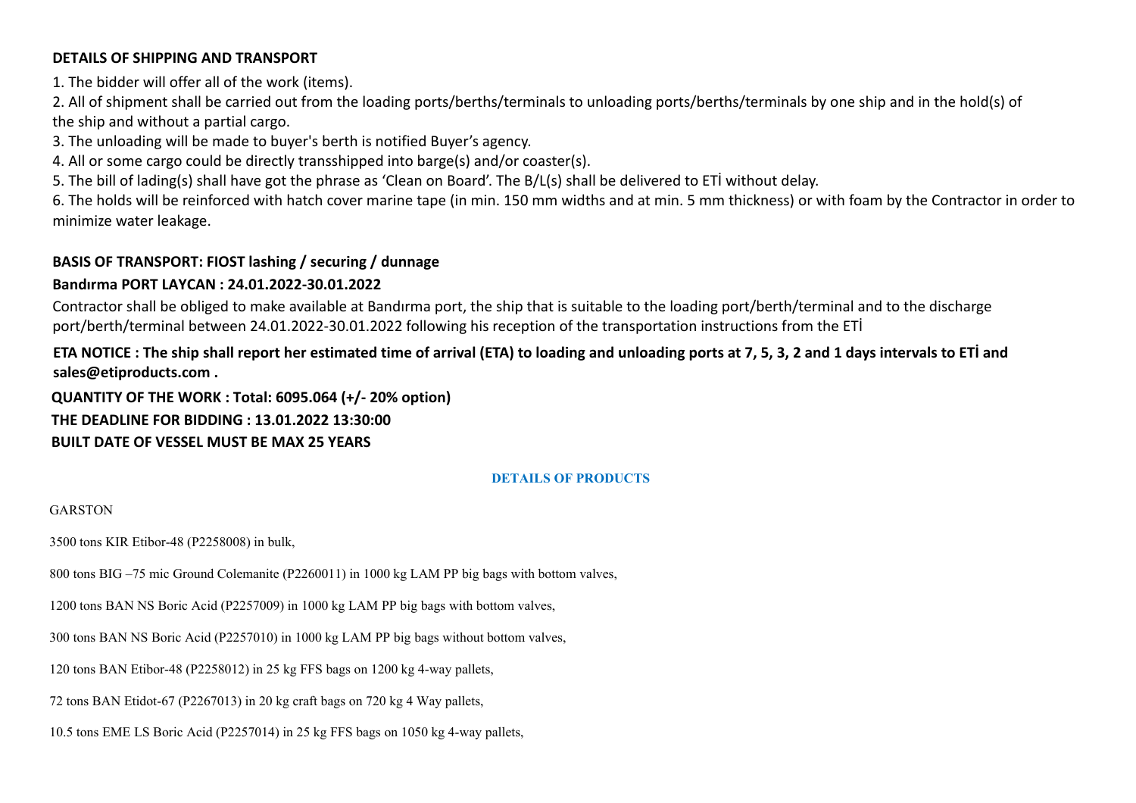# **DETAILS OF SHIPPING AND TRANSPORT**

1. The bidder will offer all of the work (items).

2. All of shipment shall be carried out from the loading ports/berths/terminals to unloading ports/berths/terminals by one ship and in the hold(s) of the ship and without a partial cargo.

3. The unloading will be made to buyer's berth is notified Buyer's agency.

4. All or some cargo could be directly transshipped into barge(s) and/or coaster(s).

5. The bill of lading(s) shall have got the phrase as 'Clean on Board'. The B/L(s) shall be delivered to ETİ without delay.

6. The holds will be reinforced with hatch cover marine tape (in min. 150 mm widths and at min. 5 mm thickness) or with foam by the Contractor in order to minimize water leakage.

# **BASIS OF TRANSPORT: FIOST lashing / securing / dunnage**

# **Bandırma PORT LAYCAN : 24.01.2022-30.01.2022**

Contractor shall be obliged to make available at Bandırma port, the ship that is suitable to the loading port/berth/terminal and to the discharge port/berth/terminal between 24.01.2022-30.01.2022 following his reception of the transportation instructions from the ETİ

# **ETA NOTICE : The ship shall report her estimated time of arrival (ETA) to loading and unloading ports at 7, 5, 3, 2 and 1 days intervals to ETİ and sales@etiproducts.com .**

**QUANTITY OF THE WORK : Total: 6095.064 (+/- 20% option) THE DEADLINE FOR BIDDING : 13.01.2022 13:30:00 BUILT DATE OF VESSEL MUST BE MAX 25 YEARS**

### **DETAILS OF PRODUCTS**

### GARSTON

3500 tons KIR Etibor-48 (P2258008) in bulk,

800 tons BIG –75 mic Ground Colemanite (P2260011) in 1000 kg LAM PP big bags with bottom valves,

1200 tons BAN NS Boric Acid (P2257009) in 1000 kg LAM PP big bags with bottom valves,

300 tons BAN NS Boric Acid (P2257010) in 1000 kg LAM PP big bags without bottom valves,

120 tons BAN Etibor-48 (P2258012) in 25 kg FFS bags on 1200 kg 4-way pallets,

72 tons BAN Etidot-67 (P2267013) in 20 kg craft bags on 720 kg 4 Way pallets,

10.5 tons EME LS Boric Acid (P2257014) in 25 kg FFS bags on 1050 kg 4-way pallets,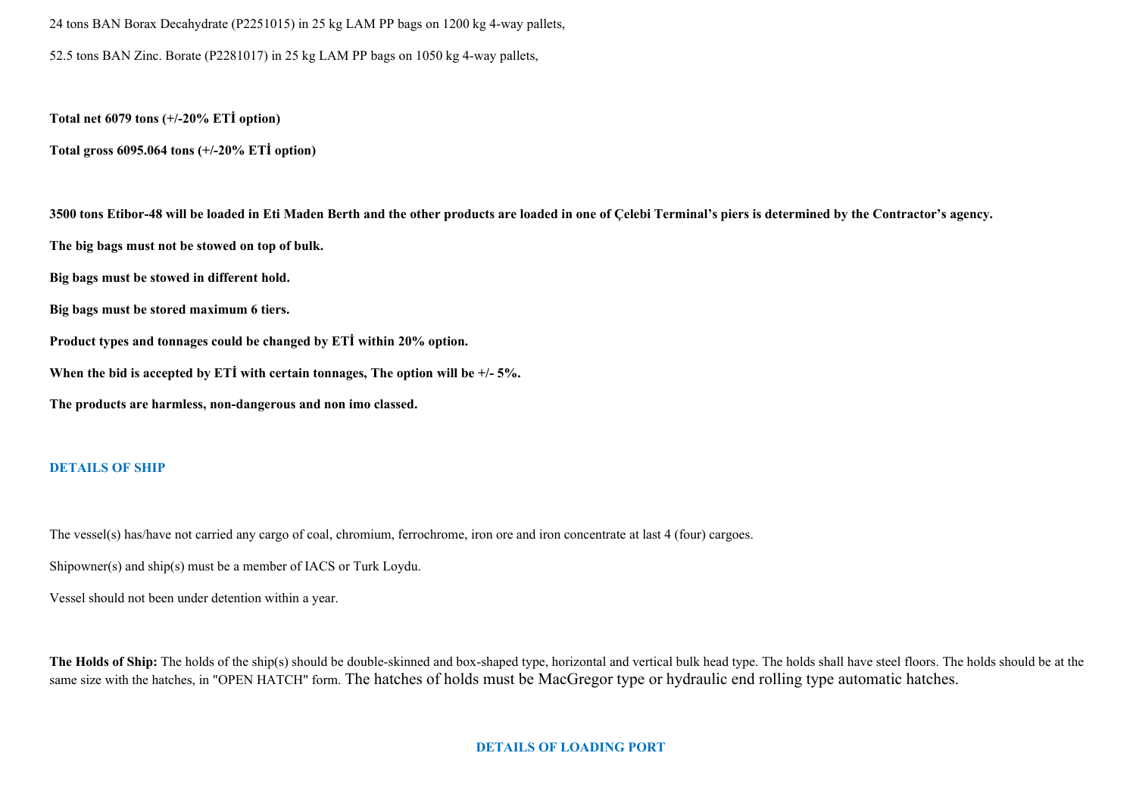24 tons BAN Borax Decahydrate (P2251015) in 25 kg LAM PP bags on 1200 kg 4-way pallets, 52.5 tons BAN Zinc. Borate (P2281017) in 25 kg LAM PP bags on 1050 kg 4-way pallets,

**Total net 6079 tons (+/-20% ETİ option)**

**Total gross 6095.064 tons (+/-20% ETİ option)**

3500 tons Etibor-48 will be loaded in Eti Maden Berth and the other products are loaded in one of Celebi Terminal's piers is determined by the Contractor's agency. **The big bags must not be stowed on top of bulk. Big bags must be stowed in different hold. Big bags must be stored maximum 6 tiers. Product types and tonnages could be changed by ETİ within 20% option. When the bid is accepted by ETİ with certain tonnages, The option will be +/- 5%. The products are harmless, non-dangerous and non imo classed.**

### **DETAILS OF SHIP**

The vessel(s) has/have not carried any cargo of coal, chromium, ferrochrome, iron ore and iron concentrate at last 4 (four) cargoes.

Shipowner(s) and ship(s) must be a member of IACS or Turk Loydu.

Vessel should not been under detention within a year.

The Holds of Ship: The holds of the ship(s) should be double-skinned and box-shaped type, horizontal and vertical bulk head type. The holds shall have steel floors. The holds should be at the same size with the hatches, in "OPEN HATCH" form. The hatches of holds must be MacGregor type or hydraulic end rolling type automatic hatches.

#### **DETAILS OF LOADING PORT**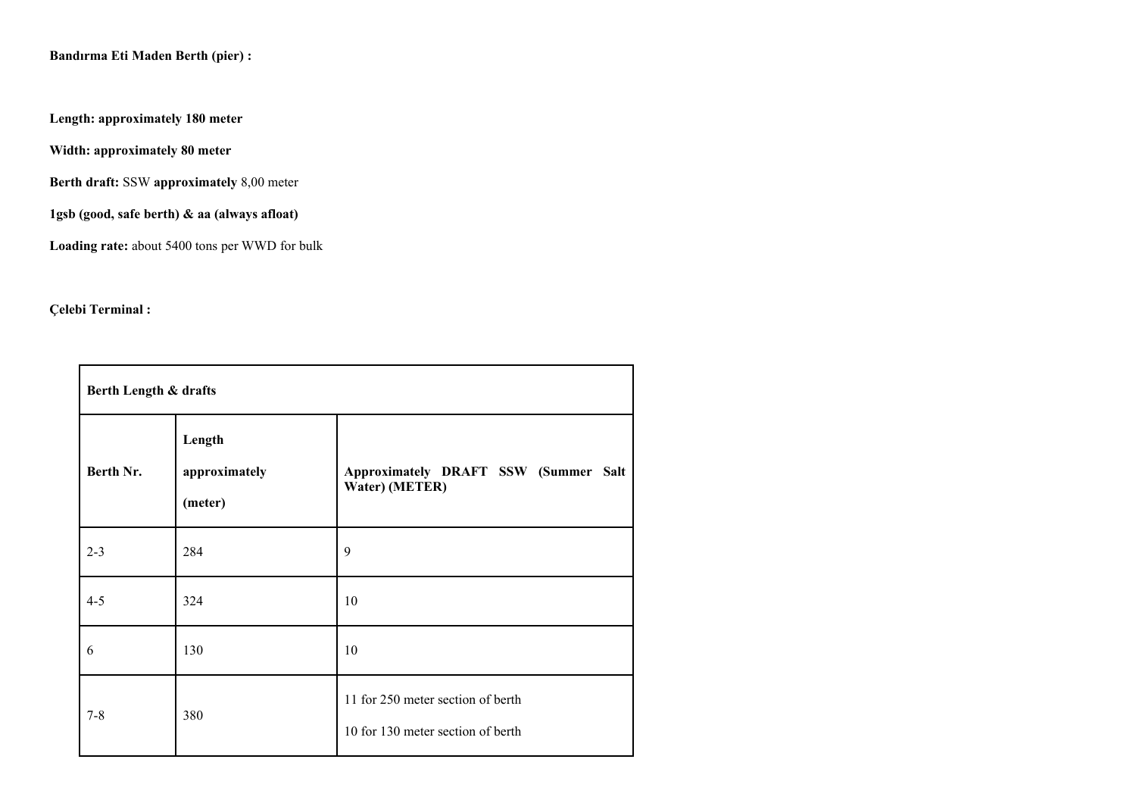**Length: approximately 180 meter**

**Width: approximately 80 meter**

**Berth draft:** SSW **approximately** 8,00 meter

**1gsb (good, safe berth) & aa (always afloat)** 

**Loading rate:** about 5400 tons per WWD for bulk

# **Çelebi Terminal :**

| Berth Length & drafts |                                    |                                                                        |  |  |  |  |
|-----------------------|------------------------------------|------------------------------------------------------------------------|--|--|--|--|
| Berth Nr.             | Length<br>approximately<br>(meter) | Approximately DRAFT SSW (Summer Salt<br>Water) (METER)                 |  |  |  |  |
| $2 - 3$               | 284                                | 9                                                                      |  |  |  |  |
| $4 - 5$               | 324                                | 10                                                                     |  |  |  |  |
| 6                     | 130                                | 10                                                                     |  |  |  |  |
| $7 - 8$               | 380                                | 11 for 250 meter section of berth<br>10 for 130 meter section of berth |  |  |  |  |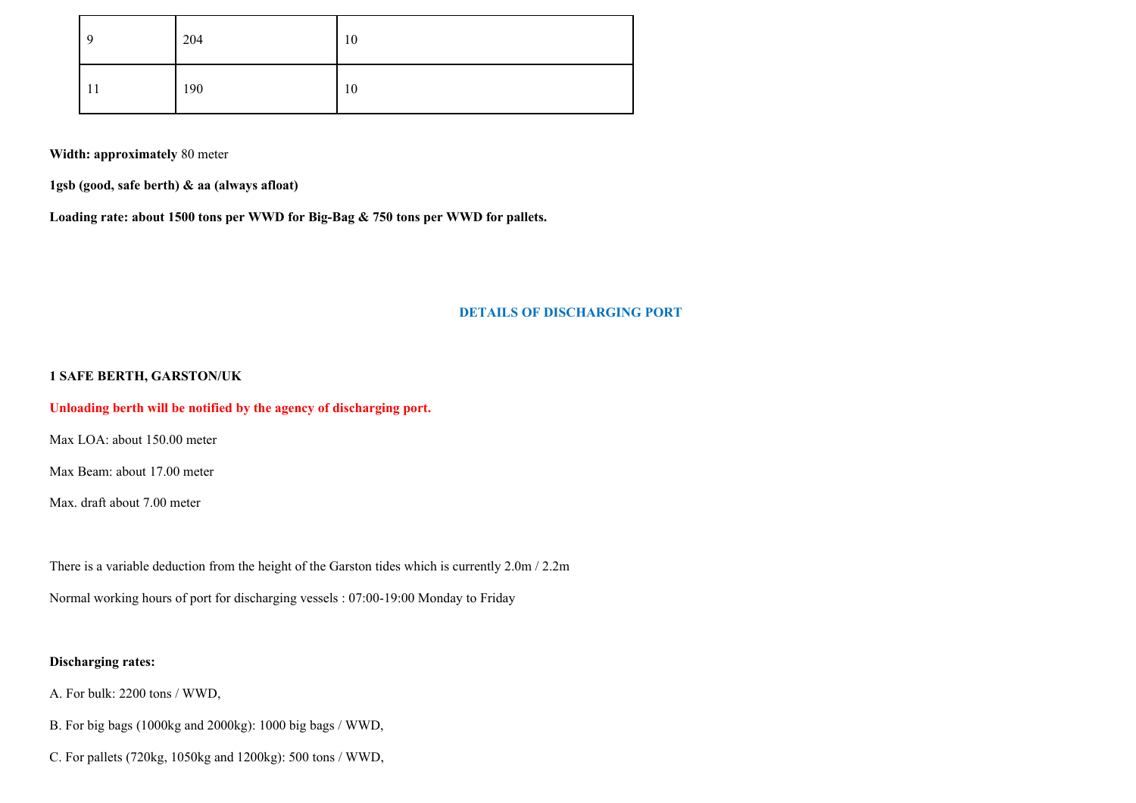| -9  | 204 | 10 |
|-----|-----|----|
| -14 | 190 | 10 |

**Width: approximately** 80 meter

**1gsb (good, safe berth) & aa (always afloat)** 

**Loading rate: about 1500 tons per WWD for Big-Bag & 750 tons per WWD for pallets.**

#### **DETAILS OF DISCHARGING PORT**

#### **1 SAFE BERTH, GARSTON/UK**

#### **Unloading berth will be notified by the agency of discharging port.**

Max LOA: about 150.00 meter

Max Beam: about 17.00 meter

Max. draft about 7.00 meter

There is a variable deduction from the height of the Garston tides which is currently 2.0m / 2.2m

Normal working hours of port for discharging vessels : 07:00-19:00 Monday to Friday

### **Discharging rates:**

A. For bulk: 2200 tons / WWD,

B. For big bags (1000kg and 2000kg): 1000 big bags / WWD,

C. For pallets (720kg, 1050kg and 1200kg): 500 tons / WWD,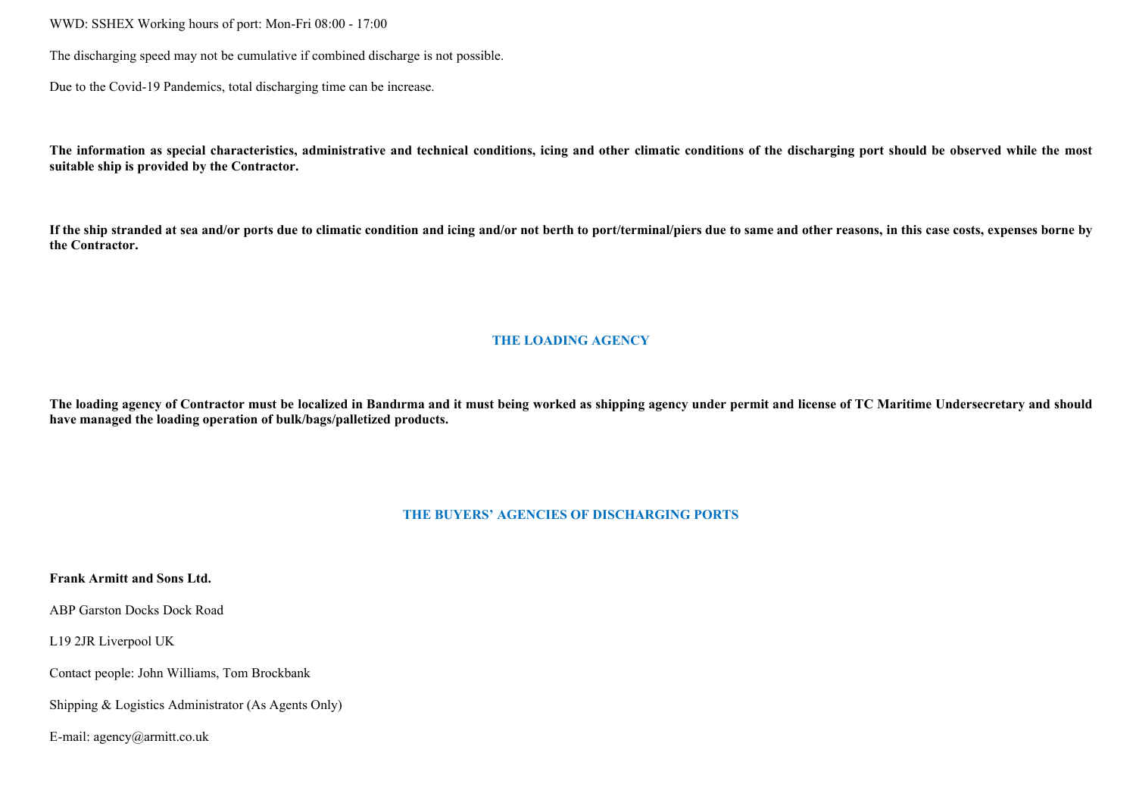WWD: SSHEX Working hours of port: Mon-Fri 08:00 - 17:00

The discharging speed may not be cumulative if combined discharge is not possible.

Due to the Covid-19 Pandemics, total discharging time can be increase.

The information as special characteristics, administrative and technical conditions, icing and other climatic conditions of the discharging port should be observed while the most **suitable ship is provided by the Contractor.**

If the ship stranded at sea and/or ports due to climatic condition and icing and/or not berth to port/terminal/piers due to same and other reasons, in this case costs, expenses borne by **the Contractor.**

### **THE LOADING AGENCY**

The loading agency of Contractor must be localized in Bandırma and it must being worked as shipping agency under permit and license of TC Maritime Undersecretary and should **have managed the loading operation of bulk/bags/palletized products.**

#### **THE BUYERS' AGENCIES OF DISCHARGING PORTS**

**Frank Armitt and Sons Ltd.**

ABP Garston Docks Dock Road

L19 2JR Liverpool UK

Contact people: John Williams, Tom Brockbank

Shipping & Logistics Administrator (As Agents Only)

E-mail: agency@armitt.co.uk